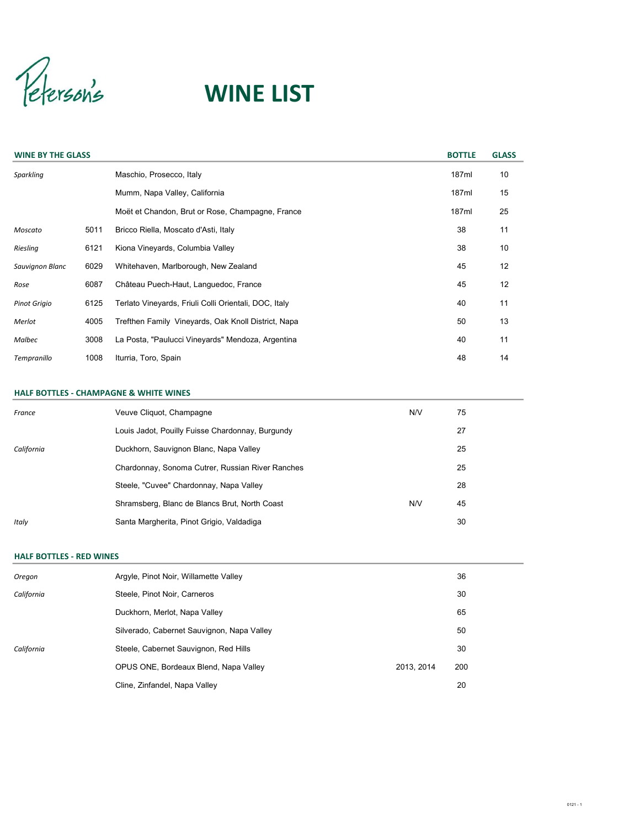Peterson's

# WINE LIST

| <b>WINE BY THE GLASS</b> |      |                                                       | <b>BOTTLE</b> | <b>GLASS</b> |
|--------------------------|------|-------------------------------------------------------|---------------|--------------|
| Sparkling                |      | Maschio, Prosecco, Italy                              | 187ml         | 10           |
|                          |      | Mumm, Napa Valley, California                         | 187ml         | 15           |
|                          |      | Moët et Chandon, Brut or Rose, Champagne, France      | 187ml         | 25           |
| Moscato                  | 5011 | Bricco Riella, Moscato d'Asti, Italy                  | 38            | 11           |
| Riesling                 | 6121 | Kiona Vineyards, Columbia Valley                      | 38            | 10           |
| Sauvignon Blanc          | 6029 | Whitehaven, Marlborough, New Zealand                  | 45            | 12           |
| Rose                     | 6087 | Château Puech-Haut, Languedoc, France                 | 45            | 12           |
| <b>Pinot Grigio</b>      | 6125 | Terlato Vineyards, Friuli Colli Orientali, DOC, Italy | 40            | 11           |
| Merlot                   | 4005 | Trefthen Family Vineyards, Oak Knoll District, Napa   | 50            | 13           |
| <b>Malbec</b>            | 3008 | La Posta, "Paulucci Vineyards" Mendoza, Argentina     | 40            | 11           |
| Tempranillo              | 1008 | Iturria, Toro, Spain                                  | 48            | 14           |

#### HALF BOTTLES - CHAMPAGNE & WHITE WINES

| France     | Veuve Cliquot, Champagne                         | N/V | 75 |
|------------|--------------------------------------------------|-----|----|
|            | Louis Jadot, Pouilly Fuisse Chardonnay, Burgundy |     | 27 |
| California | Duckhorn, Sauvignon Blanc, Napa Valley           |     | 25 |
|            | Chardonnay, Sonoma Cutrer, Russian River Ranches |     | 25 |
|            | Steele, "Cuvee" Chardonnay, Napa Valley          |     | 28 |
|            | Shramsberg, Blanc de Blancs Brut, North Coast    | N/V | 45 |
| Italy      | Santa Margherita, Pinot Grigio, Valdadiga        |     | 30 |

#### HALF BOTTLES - RED WINES

| Oregon     | Argyle, Pinot Noir, Willamette Valley      |            | 36  |
|------------|--------------------------------------------|------------|-----|
| California | Steele, Pinot Noir, Carneros               |            | 30  |
|            | Duckhorn, Merlot, Napa Valley              |            | 65  |
|            | Silverado, Cabernet Sauvignon, Napa Valley |            | 50  |
| California | Steele, Cabernet Sauvignon, Red Hills      |            | 30  |
|            | OPUS ONE, Bordeaux Blend, Napa Valley      | 2013, 2014 | 200 |
|            | Cline, Zinfandel, Napa Valley              |            | 20  |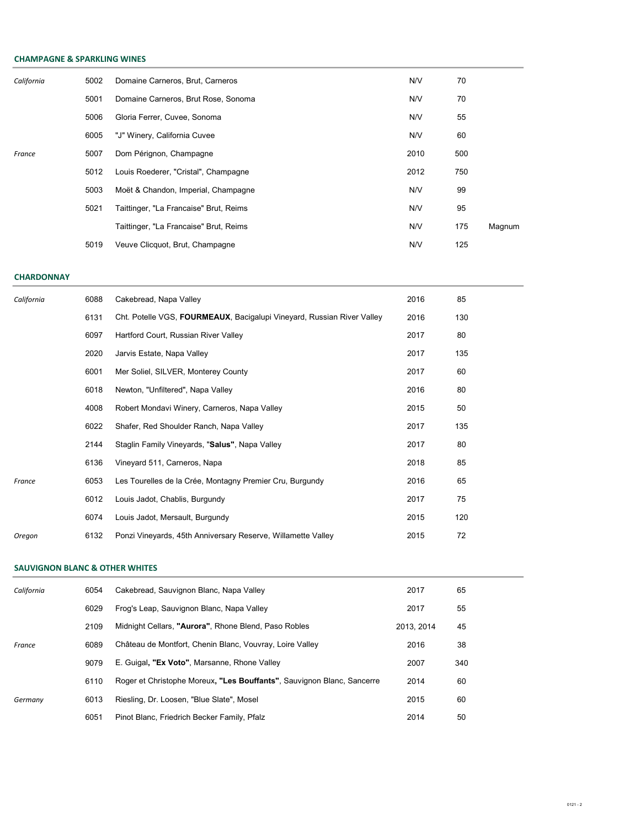# CHAMPAGNE & SPARKLING WINES

| California | 5002 | Domaine Carneros, Brut, Carneros       | N/V  | 70  |        |
|------------|------|----------------------------------------|------|-----|--------|
|            | 5001 | Domaine Carneros, Brut Rose, Sonoma    | N/V  | 70  |        |
|            | 5006 | Gloria Ferrer, Cuvee, Sonoma           | N/V  | 55  |        |
|            | 6005 | "J" Winery, California Cuvee           | N/V  | 60  |        |
| France     | 5007 | Dom Pérignon, Champagne                | 2010 | 500 |        |
|            | 5012 | Louis Roederer, "Cristal", Champagne   | 2012 | 750 |        |
|            | 5003 | Moët & Chandon, Imperial, Champagne    | N/V  | 99  |        |
|            | 5021 | Taittinger, "La Francaise" Brut, Reims | N/V  | 95  |        |
|            |      | Taittinger, "La Francaise" Brut, Reims | N/V  | 175 | Magnum |
|            | 5019 | Veuve Clicquot, Brut, Champagne        | N/V  | 125 |        |

#### **CHARDONNAY**

| California | 6088 | Cakebread, Napa Valley                                                 | 2016 | 85  |
|------------|------|------------------------------------------------------------------------|------|-----|
|            | 6131 | Cht. Potelle VGS, FOURMEAUX, Bacigalupi Vineyard, Russian River Valley | 2016 | 130 |
|            | 6097 | Hartford Court, Russian River Valley                                   | 2017 | 80  |
|            | 2020 | Jarvis Estate, Napa Valley                                             | 2017 | 135 |
|            | 6001 | Mer Soliel, SILVER, Monterey County                                    | 2017 | 60  |
|            | 6018 | Newton, "Unfiltered", Napa Valley                                      | 2016 | 80  |
|            | 4008 | Robert Mondavi Winery, Carneros, Napa Valley                           | 2015 | 50  |
|            | 6022 | Shafer, Red Shoulder Ranch, Napa Valley                                | 2017 | 135 |
|            | 2144 | Staglin Family Vineyards, "Salus", Napa Valley                         | 2017 | 80  |
|            | 6136 | Vineyard 511, Carneros, Napa                                           | 2018 | 85  |
| France     | 6053 | Les Tourelles de la Crée, Montagny Premier Cru, Burgundy               | 2016 | 65  |
|            | 6012 | Louis Jadot, Chablis, Burgundy                                         | 2017 | 75  |
|            | 6074 | Louis Jadot, Mersault, Burgundy                                        | 2015 | 120 |
| Oregon     | 6132 | Ponzi Vineyards, 45th Anniversary Reserve, Willamette Valley           | 2015 | 72  |

# SAUVIGNON BLANC & OTHER WHITES

| California | 6054 | Cakebread, Sauvignon Blanc, Napa Valley                                | 2017       | 65  |
|------------|------|------------------------------------------------------------------------|------------|-----|
|            | 6029 | Frog's Leap, Sauvignon Blanc, Napa Valley                              | 2017       | 55  |
|            | 2109 | Midnight Cellars, "Aurora", Rhone Blend, Paso Robles                   | 2013. 2014 | 45  |
| France     | 6089 | Château de Montfort, Chenin Blanc, Vouvray, Loire Valley               | 2016       | 38  |
|            | 9079 | E. Guigal, "Ex Voto", Marsanne, Rhone Valley                           | 2007       | 340 |
|            | 6110 | Roger et Christophe Moreux, "Les Bouffants", Sauvignon Blanc, Sancerre | 2014       | 60  |
| Germany    | 6013 | Riesling, Dr. Loosen, "Blue Slate", Mosel                              | 2015       | 60  |
|            | 6051 | Pinot Blanc, Friedrich Becker Family, Pfalz                            | 2014       | 50  |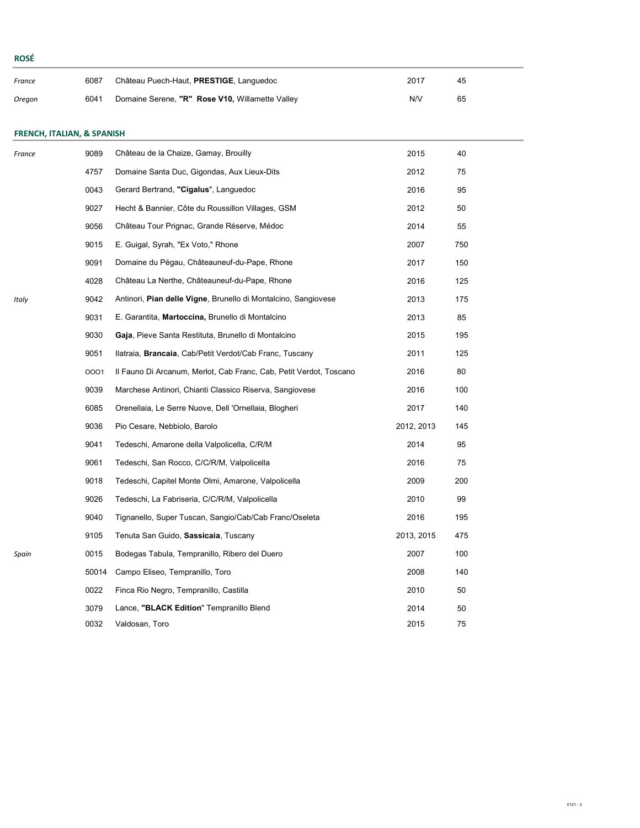| France | 6087 | Château Puech-Haut, PRESTIGE, Languedoc         | 2017 | 45 |
|--------|------|-------------------------------------------------|------|----|
| Oregon | 6041 | Domaine Serene, "R" Rose V10, Willamette Valley | N/V  | 65 |

# FRENCH, ITALIAN, & SPANISH

| France | 9089  | Château de la Chaize, Gamay, Brouilly                              | 2015       | 40  |
|--------|-------|--------------------------------------------------------------------|------------|-----|
|        | 4757  | Domaine Santa Duc, Gigondas, Aux Lieux-Dits                        | 2012       | 75  |
|        | 0043  | Gerard Bertrand, "Cigalus", Languedoc                              | 2016       | 95  |
|        | 9027  | Hecht & Bannier, Côte du Roussillon Villages, GSM                  | 2012       | 50  |
|        | 9056  | Château Tour Prignac, Grande Réserve, Médoc                        | 2014       | 55  |
|        | 9015  | E. Guigal, Syrah, "Ex Voto," Rhone                                 | 2007       | 750 |
|        | 9091  | Domaine du Pégau, Châteauneuf-du-Pape, Rhone                       | 2017       | 150 |
|        | 4028  | Château La Nerthe, Châteauneuf-du-Pape, Rhone                      | 2016       | 125 |
| Italy  | 9042  | Antinori, Pian delle Vigne, Brunello di Montalcino, Sangiovese     | 2013       | 175 |
|        | 9031  | E. Garantita, Martoccina, Brunello di Montalcino                   | 2013       | 85  |
|        | 9030  | Gaja, Pieve Santa Restituta, Brunello di Montalcino                | 2015       | 195 |
|        | 9051  | Ilatraia, <b>Brancaia</b> , Cab/Petit Verdot/Cab Franc, Tuscany    | 2011       | 125 |
|        | 0001  | Il Fauno Di Arcanum, Merlot, Cab Franc, Cab, Petit Verdot, Toscano | 2016       | 80  |
|        | 9039  | Marchese Antinori, Chianti Classico Riserva, Sangiovese            | 2016       | 100 |
|        | 6085  | Orenellaia, Le Serre Nuove, Dell 'Ornellaia, Blogheri              | 2017       | 140 |
|        | 9036  | Pio Cesare, Nebbiolo, Barolo                                       | 2012, 2013 | 145 |
|        | 9041  | Tedeschi, Amarone della Valpolicella, C/R/M                        | 2014       | 95  |
|        | 9061  | Tedeschi, San Rocco, C/C/R/M, Valpolicella                         | 2016       | 75  |
|        | 9018  | Tedeschi, Capitel Monte Olmi, Amarone, Valpolicella                | 2009       | 200 |
|        | 9026  | Tedeschi, La Fabriseria, C/C/R/M, Valpolicella                     | 2010       | 99  |
|        | 9040  | Tignanello, Super Tuscan, Sangio/Cab/Cab Franc/Oseleta             | 2016       | 195 |
|        | 9105  | Tenuta San Guido, Sassicaia, Tuscany                               | 2013, 2015 | 475 |
| Spain  | 0015  | Bodegas Tabula, Tempranillo, Ribero del Duero                      | 2007       | 100 |
|        | 50014 | Campo Eliseo, Tempranillo, Toro                                    | 2008       | 140 |
|        | 0022  | Finca Rio Negro, Tempranillo, Castilla                             | 2010       | 50  |
|        | 3079  | Lance, "BLACK Edition" Tempranillo Blend                           | 2014       | 50  |
|        | 0032  | Valdosan, Toro                                                     | 2015       | 75  |

ROSÉ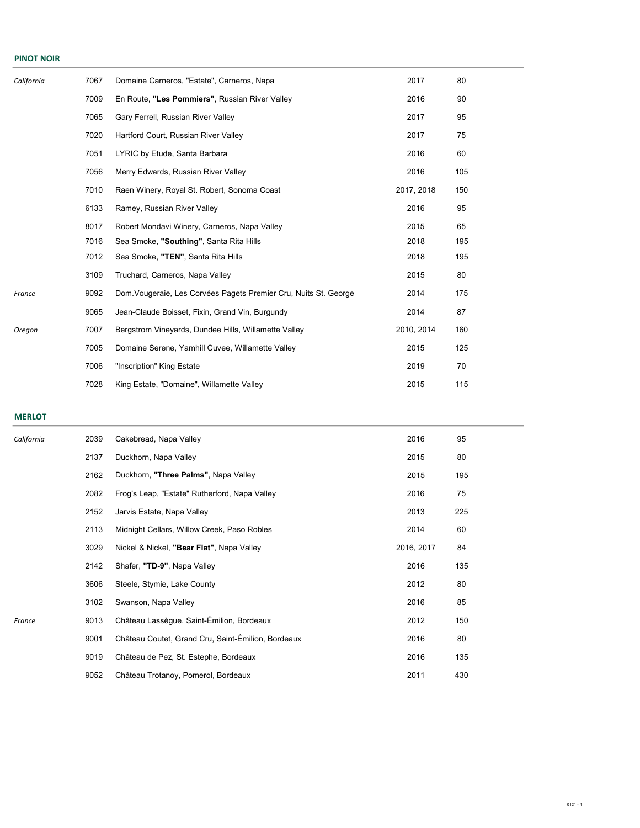#### PINOT NOIR

| California | 7067 | Domaine Carneros, "Estate", Carneros, Napa                      | 2017       | 80  |  |
|------------|------|-----------------------------------------------------------------|------------|-----|--|
|            | 7009 | En Route, "Les Pommiers", Russian River Valley                  | 2016       | 90  |  |
|            | 7065 | Gary Ferrell, Russian River Valley                              | 2017       | 95  |  |
|            | 7020 | Hartford Court, Russian River Valley                            | 2017       | 75  |  |
|            | 7051 | LYRIC by Etude, Santa Barbara                                   | 2016       | 60  |  |
|            | 7056 | Merry Edwards, Russian River Valley                             | 2016       | 105 |  |
|            | 7010 | Raen Winery, Royal St. Robert, Sonoma Coast                     | 2017, 2018 | 150 |  |
|            | 6133 | Ramey, Russian River Valley                                     | 2016       | 95  |  |
|            | 8017 | Robert Mondavi Winery, Carneros, Napa Valley                    | 2015       | 65  |  |
|            | 7016 | Sea Smoke, "Southing", Santa Rita Hills                         | 2018       | 195 |  |
|            | 7012 | Sea Smoke, "TEN", Santa Rita Hills                              | 2018       | 195 |  |
|            | 3109 | Truchard, Carneros, Napa Valley                                 | 2015       | 80  |  |
| France     | 9092 | Dom Vougeraie, Les Corvées Pagets Premier Cru, Nuits St. George | 2014       | 175 |  |
|            | 9065 | Jean-Claude Boisset, Fixin, Grand Vin, Burgundy                 | 2014       | 87  |  |
| Oregon     | 7007 | Bergstrom Vineyards, Dundee Hills, Willamette Valley            | 2010, 2014 | 160 |  |
|            | 7005 | Domaine Serene, Yamhill Cuvee, Willamette Valley                | 2015       | 125 |  |
|            | 7006 | "Inscription" King Estate                                       | 2019       | 70  |  |
|            | 7028 | King Estate, "Domaine", Willamette Valley                       | 2015       | 115 |  |

#### MERLOT

| California | 2039 | Cakebread, Napa Valley                             | 2016       | 95  |
|------------|------|----------------------------------------------------|------------|-----|
|            | 2137 | Duckhorn, Napa Valley                              | 2015       | 80  |
|            | 2162 | Duckhorn, "Three Palms", Napa Valley               | 2015       | 195 |
|            | 2082 | Frog's Leap, "Estate" Rutherford, Napa Valley      | 2016       | 75  |
|            | 2152 | Jarvis Estate, Napa Valley                         | 2013       | 225 |
|            | 2113 | Midnight Cellars, Willow Creek, Paso Robles        | 2014       | 60  |
|            | 3029 | Nickel & Nickel, "Bear Flat", Napa Valley          | 2016, 2017 | 84  |
|            | 2142 | Shafer, "TD-9", Napa Valley                        | 2016       | 135 |
|            | 3606 | Steele, Stymie, Lake County                        | 2012       | 80  |
|            | 3102 | Swanson, Napa Valley                               | 2016       | 85  |
| France     | 9013 | Château Lassègue, Saint-Émilion, Bordeaux          | 2012       | 150 |
|            | 9001 | Château Coutet, Grand Cru, Saint-Émilion, Bordeaux | 2016       | 80  |
|            | 9019 | Château de Pez, St. Estephe, Bordeaux              | 2016       | 135 |
|            | 9052 | Château Trotanoy, Pomerol, Bordeaux                | 2011       | 430 |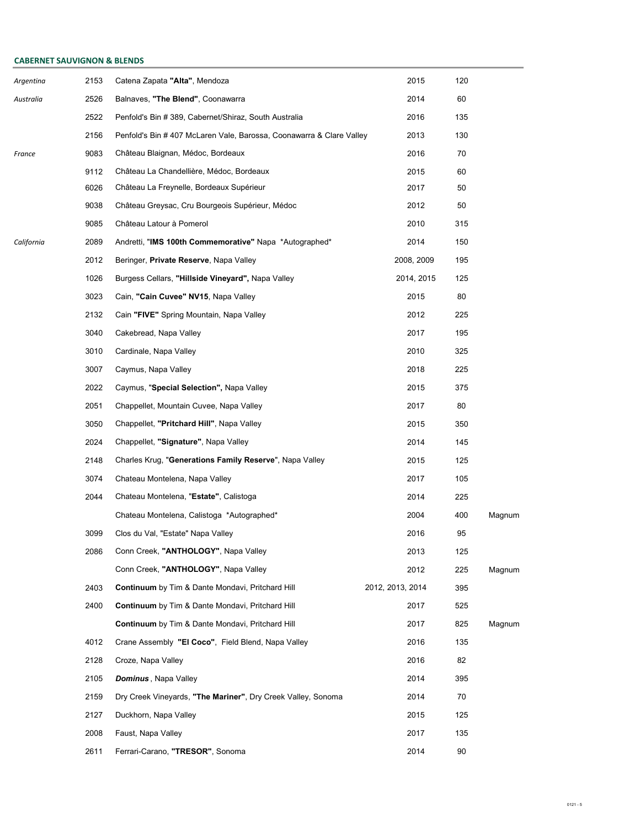# CABERNET SAUVIGNON & BLENDS

| Argentina  | 2153 | Catena Zapata "Alta", Mendoza                                        | 2015             | 120 |        |
|------------|------|----------------------------------------------------------------------|------------------|-----|--------|
| Australia  | 2526 | Balnaves, "The Blend", Coonawarra                                    | 2014             | 60  |        |
|            | 2522 | Penfold's Bin # 389, Cabernet/Shiraz, South Australia                | 2016             | 135 |        |
|            | 2156 | Penfold's Bin # 407 McLaren Vale, Barossa, Coonawarra & Clare Valley | 2013             | 130 |        |
| France     | 9083 | Château Blaignan, Médoc, Bordeaux                                    | 2016             | 70  |        |
|            | 9112 | Château La Chandellière, Médoc, Bordeaux                             | 2015             | 60  |        |
|            | 6026 | Château La Freynelle, Bordeaux Supérieur                             | 2017             | 50  |        |
|            | 9038 | Château Greysac, Cru Bourgeois Supérieur, Médoc                      | 2012             | 50  |        |
|            | 9085 | Château Latour à Pomerol                                             | 2010             | 315 |        |
| California | 2089 | Andretti, "IMS 100th Commemorative" Napa *Autographed*               | 2014             | 150 |        |
|            | 2012 | Beringer, <b>Private Reserve</b> , Napa Valley                       | 2008, 2009       | 195 |        |
|            | 1026 | Burgess Cellars, <b>"Hillside Vineyard",</b> Napa Valley             | 2014, 2015       | 125 |        |
|            | 3023 | Cain, "Cain Cuvee" NV15, Napa Valley                                 | 2015             | 80  |        |
|            | 2132 | Cain "FIVE" Spring Mountain, Napa Valley                             | 2012             | 225 |        |
|            | 3040 | Cakebread, Napa Valley                                               | 2017             | 195 |        |
|            | 3010 | Cardinale, Napa Valley                                               | 2010             | 325 |        |
|            | 3007 | Caymus, Napa Valley                                                  | 2018             | 225 |        |
|            | 2022 | Caymus, "Special Selection", Napa Valley                             | 2015             | 375 |        |
|            | 2051 | Chappellet, Mountain Cuvee, Napa Valley                              | 2017             | 80  |        |
|            | 3050 | Chappellet, "Pritchard Hill", Napa Valley                            | 2015             | 350 |        |
|            | 2024 | Chappellet, "Signature", Napa Valley                                 | 2014             | 145 |        |
|            | 2148 | Charles Krug, "Generations Family Reserve", Napa Valley              | 2015             | 125 |        |
|            | 3074 | Chateau Montelena, Napa Valley                                       | 2017             | 105 |        |
|            | 2044 | Chateau Montelena, "Estate", Calistoga                               | 2014             | 225 |        |
|            |      | Chateau Montelena, Calistoga *Autographed*                           | 2004             | 400 | Magnum |
|            | 3099 | Clos du Val, "Estate" Napa Valley                                    | 2016             | 95  |        |
|            | 2086 | Conn Creek, "ANTHOLOGY", Napa Valley                                 | 2013             | 125 |        |
|            |      | Conn Creek, "ANTHOLOGY", Napa Valley                                 | 2012             | 225 | Magnum |
|            | 2403 | <b>Continuum</b> by Tim & Dante Mondavi, Pritchard Hill              | 2012, 2013, 2014 | 395 |        |
|            | 2400 | <b>Continuum</b> by Tim & Dante Mondavi, Pritchard Hill              | 2017             | 525 |        |
|            |      | <b>Continuum</b> by Tim & Dante Mondavi, Pritchard Hill              | 2017             | 825 | Magnum |
|            | 4012 | Crane Assembly "El Coco", Field Blend, Napa Valley                   | 2016             | 135 |        |
|            | 2128 | Croze, Napa Valley                                                   | 2016             | 82  |        |
|            | 2105 | <b>Dominus</b> , Napa Valley                                         | 2014             | 395 |        |
|            | 2159 | Dry Creek Vineyards, "The Mariner", Dry Creek Valley, Sonoma         | 2014             | 70  |        |
|            | 2127 | Duckhorn, Napa Valley                                                | 2015             | 125 |        |
|            | 2008 | Faust, Napa Valley                                                   | 2017             | 135 |        |
|            | 2611 | Ferrari-Carano, "TRESOR", Sonoma                                     | 2014             | 90  |        |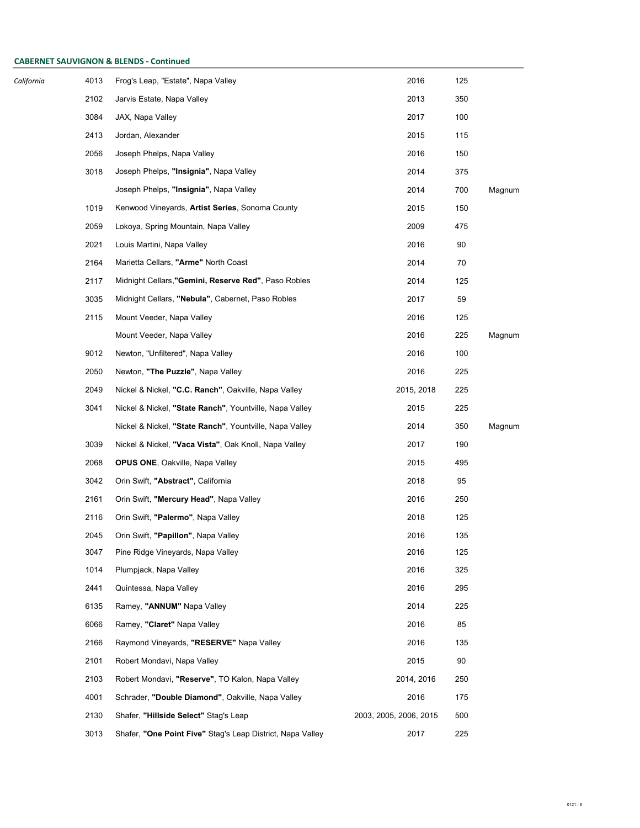# CABERNET SAUVIGNON & BLENDS - Continued

| California | 4013 | Frog's Leap, "Estate", Napa Valley                         | 2016                   | 125 |        |
|------------|------|------------------------------------------------------------|------------------------|-----|--------|
|            | 2102 | Jarvis Estate, Napa Valley                                 | 2013                   | 350 |        |
|            | 3084 | JAX, Napa Valley                                           | 2017                   | 100 |        |
|            | 2413 | Jordan, Alexander                                          | 2015                   | 115 |        |
|            | 2056 | Joseph Phelps, Napa Valley                                 | 2016                   | 150 |        |
|            | 3018 | Joseph Phelps, "Insignia", Napa Valley                     | 2014                   | 375 |        |
|            |      | Joseph Phelps, "Insignia", Napa Valley                     | 2014                   | 700 | Magnum |
|            | 1019 | Kenwood Vineyards, Artist Series, Sonoma County            | 2015                   | 150 |        |
|            | 2059 | Lokoya, Spring Mountain, Napa Valley                       | 2009                   | 475 |        |
|            | 2021 | Louis Martini, Napa Valley                                 | 2016                   | 90  |        |
|            | 2164 | Marietta Cellars, "Arme" North Coast                       | 2014                   | 70  |        |
|            | 2117 | Midnight Cellars, "Gemini, Reserve Red", Paso Robles       | 2014                   | 125 |        |
|            | 3035 | Midnight Cellars, "Nebula", Cabernet, Paso Robles          | 2017                   | 59  |        |
|            | 2115 | Mount Veeder, Napa Valley                                  | 2016                   | 125 |        |
|            |      | Mount Veeder, Napa Valley                                  | 2016                   | 225 | Magnum |
|            | 9012 | Newton, "Unfiltered", Napa Valley                          | 2016                   | 100 |        |
|            | 2050 | Newton, "The Puzzle", Napa Valley                          | 2016                   | 225 |        |
|            | 2049 | Nickel & Nickel, "C.C. Ranch", Oakville, Napa Valley       | 2015, 2018             | 225 |        |
|            | 3041 | Nickel & Nickel, "State Ranch", Yountville, Napa Valley    | 2015                   | 225 |        |
|            |      | Nickel & Nickel, "State Ranch", Yountville, Napa Valley    | 2014                   | 350 | Magnum |
|            | 3039 | Nickel & Nickel, "Vaca Vista", Oak Knoll, Napa Valley      | 2017                   | 190 |        |
|            | 2068 | <b>OPUS ONE, Oakville, Napa Valley</b>                     | 2015                   | 495 |        |
|            | 3042 | Orin Swift, "Abstract", California                         | 2018                   | 95  |        |
|            | 2161 | Orin Swift, "Mercury Head", Napa Valley                    | 2016                   | 250 |        |
|            | 2116 | Orin Swift, "Palermo", Napa Valley                         | 2018                   | 125 |        |
|            | 2045 | Orin Swift, "Papillon", Napa Valley                        | 2016                   | 135 |        |
|            | 3047 | Pine Ridge Vineyards, Napa Valley                          | 2016                   | 125 |        |
|            | 1014 | Plumpjack, Napa Valley                                     | 2016                   | 325 |        |
|            | 2441 | Quintessa, Napa Valley                                     | 2016                   | 295 |        |
|            | 6135 | Ramey, "ANNUM" Napa Valley                                 | 2014                   | 225 |        |
|            | 6066 | Ramey, "Claret" Napa Valley                                | 2016                   | 85  |        |
|            | 2166 | Raymond Vineyards, "RESERVE" Napa Valley                   | 2016                   | 135 |        |
|            | 2101 | Robert Mondavi, Napa Valley                                | 2015                   | 90  |        |
|            | 2103 | Robert Mondavi, "Reserve", TO Kalon, Napa Valley           | 2014, 2016             | 250 |        |
|            | 4001 | Schrader, "Double Diamond", Oakville, Napa Valley          | 2016                   | 175 |        |
|            | 2130 | Shafer, "Hillside Select" Stag's Leap                      | 2003, 2005, 2006, 2015 | 500 |        |
|            | 3013 | Shafer, "One Point Five" Stag's Leap District, Napa Valley | 2017                   | 225 |        |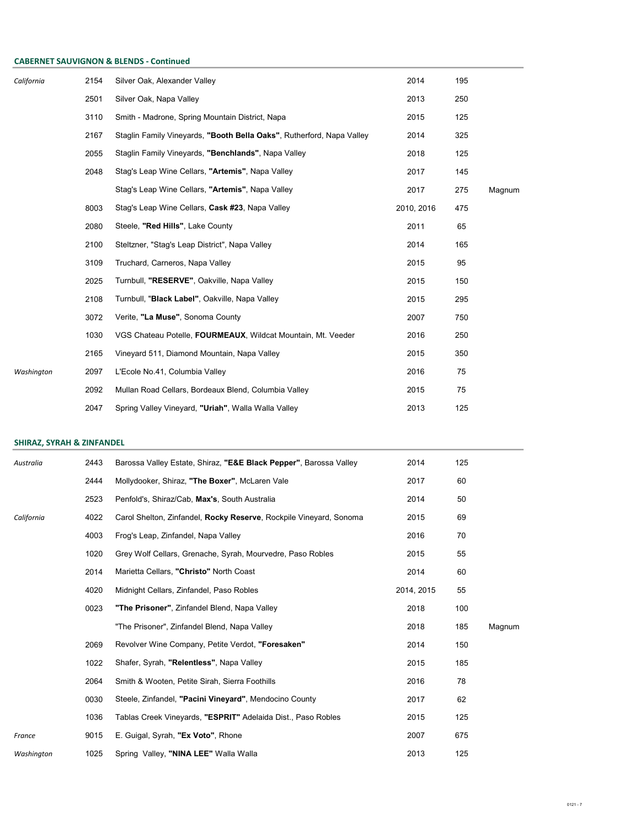#### CABERNET SAUVIGNON & BLENDS - Continued

| California | 2154 | Silver Oak, Alexander Valley                                          | 2014       | 195 |        |
|------------|------|-----------------------------------------------------------------------|------------|-----|--------|
|            | 2501 | Silver Oak, Napa Valley                                               | 2013       | 250 |        |
|            | 3110 | Smith - Madrone, Spring Mountain District, Napa                       | 2015       | 125 |        |
|            | 2167 | Staglin Family Vineyards, "Booth Bella Oaks", Rutherford, Napa Valley | 2014       | 325 |        |
|            | 2055 | Staglin Family Vineyards, "Benchlands", Napa Valley                   | 2018       | 125 |        |
|            | 2048 | Stag's Leap Wine Cellars, "Artemis", Napa Valley                      | 2017       | 145 |        |
|            |      | Stag's Leap Wine Cellars, "Artemis", Napa Valley                      | 2017       | 275 | Magnum |
|            | 8003 | Stag's Leap Wine Cellars, Cask #23, Napa Valley                       | 2010, 2016 | 475 |        |
|            | 2080 | Steele, "Red Hills", Lake County                                      | 2011       | 65  |        |
|            | 2100 | Steltzner, "Stag's Leap District", Napa Valley                        | 2014       | 165 |        |
|            | 3109 | Truchard, Carneros, Napa Valley                                       | 2015       | 95  |        |
|            | 2025 | Turnbull, "RESERVE", Oakville, Napa Valley                            | 2015       | 150 |        |
|            | 2108 | Turnbull, "Black Label", Oakville, Napa Valley                        | 2015       | 295 |        |
|            | 3072 | Verite, "La Muse", Sonoma County                                      | 2007       | 750 |        |
|            | 1030 | VGS Chateau Potelle, FOURMEAUX, Wildcat Mountain, Mt. Veeder          | 2016       | 250 |        |
|            | 2165 | Vineyard 511, Diamond Mountain, Napa Valley                           | 2015       | 350 |        |
| Washington | 2097 | L'Ecole No.41, Columbia Valley                                        | 2016       | 75  |        |
|            | 2092 | Mullan Road Cellars, Bordeaux Blend, Columbia Valley                  | 2015       | 75  |        |
|            | 2047 | Spring Valley Vineyard, "Uriah", Walla Walla Valley                   | 2013       | 125 |        |

# SHIRAZ, SYRAH & ZINFANDEL

| Australia  | 2443 | Barossa Valley Estate, Shiraz, "E&E Black Pepper", Barossa Valley  | 2014       | 125 |        |
|------------|------|--------------------------------------------------------------------|------------|-----|--------|
|            | 2444 | Mollydooker, Shiraz, "The Boxer", McLaren Vale                     | 2017       | 60  |        |
|            | 2523 | Penfold's, Shiraz/Cab, Max's, South Australia                      | 2014       | 50  |        |
| California | 4022 | Carol Shelton, Zinfandel, Rocky Reserve, Rockpile Vineyard, Sonoma | 2015       | 69  |        |
|            | 4003 | Frog's Leap, Zinfandel, Napa Valley                                | 2016       | 70  |        |
|            | 1020 | Grey Wolf Cellars, Grenache, Syrah, Mourvedre, Paso Robles         | 2015       | 55  |        |
|            | 2014 | Marietta Cellars, "Christo" North Coast                            | 2014       | 60  |        |
|            | 4020 | Midnight Cellars, Zinfandel, Paso Robles                           | 2014, 2015 | 55  |        |
|            | 0023 | "The Prisoner", Zinfandel Blend, Napa Valley                       | 2018       | 100 |        |
|            |      | "The Prisoner", Zinfandel Blend, Napa Valley                       | 2018       | 185 | Magnum |
|            | 2069 | Revolver Wine Company, Petite Verdot, "Foresaken"                  | 2014       | 150 |        |
|            | 1022 | Shafer, Syrah, "Relentless", Napa Valley                           | 2015       | 185 |        |
|            | 2064 | Smith & Wooten, Petite Sirah, Sierra Foothills                     | 2016       | 78  |        |
|            | 0030 | Steele, Zinfandel, "Pacini Vineyard", Mendocino County             | 2017       | 62  |        |
|            | 1036 | Tablas Creek Vineyards, "ESPRIT" Adelaida Dist., Paso Robles       | 2015       | 125 |        |
| France     | 9015 | E. Guigal, Syrah, "Ex Voto", Rhone                                 | 2007       | 675 |        |
| Washington | 1025 | Spring Valley, "NINA LEE" Walla Walla                              | 2013       | 125 |        |